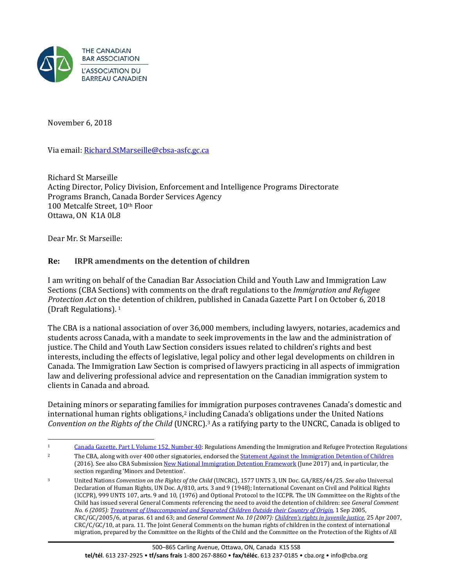

November 6, 2018

Via email: [Richard.StMarseille@cbsa-asfc.gc.ca](mailto:Richard.StMarseille@cbsa-asfc.gc.ca)

Richard St Marseille Acting Director, Policy Division, Enforcement and Intelligence Programs Directorate Programs Branch, Canada Border Services Agency 100 Metcalfe Street, 10th Floor Ottawa, ON K1A 0L8

Dear Mr. St Marseille:

## **Re: IRPR amendments on the detention of children**

I am writing on behalf of the Canadian Bar Association Child and Youth Law and Immigration Law Sections (CBA Sections) with comments on the draft regulations to the *Immigration and Refugee Protection Act* on th[e](#page-0-0) detention of children, published in Canada Gazette Part I on October 6, 2018 (Draft Regulations). <sup>1</sup>

The CBA is a national association of over 36,000 members, including lawyers, notaries, academics and students across Canada, with a mandate to seek improvements in the law and the administration of justice. The Child and Youth Law Section considers issues related to children's rights and best interests, including the effects of legislative, legal policy and other legal developments on children in Canada. The Immigration Law Section is comprised of lawyers practicing in all aspects of immigration law and delivering professional advice and representation on the Canadian immigration system to clients in Canada and abroad.

Detaining minors or separating familie[s](#page-0-1) for immigration purposes contravenes Canada's domestic and international human rights obligations,<sup>2</sup> including Canada's obligations under the United Nations *Convention on the Rights of the Child* (UNCRC)[.3](#page-0-2) As a ratifying party to the UNCRC, Canada is obliged to

<span id="page-0-0"></span> $\mathbf{1}$ Canada [Gazette, Part I, Volume 152, Number 40:](http://www.gazette.gc.ca/rp-pr/p1/2018/2018-10-06/html/reg1-eng.html) Regulations Amending the Immigration and Refugee Protection Regulations

<span id="page-0-1"></span><sup>&</sup>lt;sup>2</sup> The CBA, along with over 400 other signatories, endorsed the **Statement Against the Immigration Detention of Children** (2016). See also CBA Submissio[n New National Immigration Detention Framework](https://www.cba.org/CMSPages/GetFile.aspx?guid=8367a49e-8c2a-4318-9554-e5ffb39b53d2) (June 2017) and, in particular, the section regarding 'Minors and Detention'.

<span id="page-0-2"></span><sup>3</sup> United Nations *Convention on the Rights of the Child* (UNCRC), 1577 UNTS 3, UN Doc. GA/RES/44/25. *See also* Universal Declaration of Human Rights, UN Doc. A/810, arts. 3 and 9 (1948); International Covenant on Civil and Political Rights (ICCPR), 999 UNTS 107, arts. 9 and 10, (1976) and Optional Protocol to the ICCPR. The UN Committee on the Rights of the Child has issued several General Comments referencing the need to avoid the detention of children: see *General Comment No. 6 (2005)[: Treatment of Unaccompanied and Separated Children Outside their Country of Origin,](http://www.refworld.org/docid/42dd174b4.html)* 1 Sep 2005, CRC/GC/2005/6, at paras. 61 and 63; and *General Comment No. 10 (2007)[: Children's rights in juvenile justice,](http://www.refworld.org/docid/4670fca12.html)* 25 Apr 2007, CRC/C/GC/10, at para. 11. The Joint General Comments on the human rights of children in the context of international migration, prepared by the Committee on the Rights of the Child and the Committee on the Protection of the Rights of All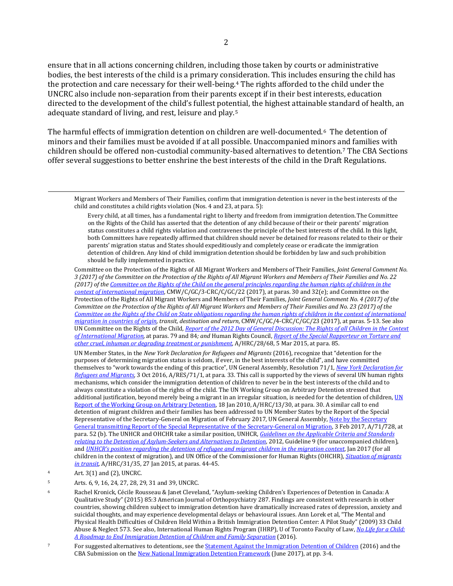ensure that in all actions concerning children, including those taken by courts or administrative bodies, the best interests of the child is a primary consideration. This includes ensuring the child has the protection and care necessary for their well-being.[4](#page-1-0) The rights afforded to the child under the UNCRC also include non-separation from their parents except if in their best interests, education directed to the development of the child's fullest pote[nt](#page-1-1)ial, the highest attainable standard of health, an adequate standard of living, and rest, leisure and play.5

The harmful effects of immigration detention on children are well-documented.[6](#page-1-2) The detention of minors and their families must be avoided if at all possible. Unaccompanied minors and families with children should be offered non-custodial community-based alternatives to detention[.7](#page-1-3) The CBA Sections offer several suggestions to better enshrine the best interests of the child in the Draft Regulations.

 Migrant Workers and Members of Their Families, confirm that immigration detention is never in the best interests of the child and constitutes a child rights violation (Nos. 4 and 23, at para. 5):

Every child, at all times, has a fundamental right to liberty and freedom from immigration detention.The Committee on the Rights of the Child has asserted that the detention of any child because of their or their parents' migration status constitutes a child rights violation and contravenes the principle of the best interests of the child. In this light, both Committees have repeatedly affirmed that children should never be detained for reasons related to their or their parents' migration status and States should expeditiously and completely cease or eradicate the immigration detention of children. Any kind of child immigration detention should be forbidden by law and such prohibition should be fully implemented in practice.

Committee on the Protection of the Rights of All Migrant Workers and Members of Their Families, *Joint General Comment No. 3 (2017) of the Committee on the Protection of the Rights of All Migrant Workers and Members of Their Families and No. 22 (2017) of th[e Committee on the Rights of the Child on the general principles regarding the human rights of children in the](http://www.refworld.org/docid/5a1293a24.html)  [context of international migration](http://www.refworld.org/docid/5a1293a24.html)*, CMW/C/GC/3-CRC/C/GC/22 (2017), at paras. 30 and 32(e); and Committee on the Protection of the Rights of All Migrant Workers and Members of Their Families, *Joint General Comment No. 4 (2017) of the Committee on the Protection of the Rights of All Migrant Workers and Members of Their Families and No. 23 (2017) of the [Committee on the Rights of the Child on State obligations regarding the human rights of children in the context of international](http://www.refworld.org/docid/5a12942a2b.html)  [migration in countries of origin,](http://www.refworld.org/docid/5a12942a2b.html) transit, destination and return*, CMW/C/GC/4-CRC/C/GC/23 (2017), at paras. 5-13. See also UN Committee on the Rights of the Child*, Report of the 2012 Day of General [Discussion: The Rights of all Children in the Context](http://www.refworld.org/docid/51efb6fa4.html)  [of International Migration,](http://www.refworld.org/docid/51efb6fa4.html)* at paras. 79 and 84*; and* Human Rights Council, *[Report of the Special Rapporteur on Torture and](http://www.refworld.org/docid/550824454.html)  [other cruel, inhuman or degrading treatment or punishment,](http://www.refworld.org/docid/550824454.html)* A/HRC/28/68, 5 Mar 2015, at para. 85.

UN Member States, in the *New York Declaration for Refugees and Migrants* (2016), recognize that "detention for the purposes of determining migration status is seldom, if ever, in the best interests of the child", and have committed themselves to "work towards the ending of this practice", UN General Assembly, Resolution 71/1*[, New York Declaration for](http://www.refworld.org/docid/57ceb74a4.html)  [Refugees and Migrants,](http://www.refworld.org/docid/57ceb74a4.html)* 3 Oct 2016, A/RES/71/1, at para. 33. This call is supported by the views of several UN human rights mechanisms, which consider the immigration detention of children to never be in the best interests of the child and to always constitute a violation of the rights of the child. The UN Working Group on Arbitrary Detention stressed that additional justification, beyond merely being a migrant in an irregular situation, is needed for the detention of children,  $UN$ [Report of the Working Group on Arbitrary Detention,](http://www.refworld.org/docid/502e0fa62.html) 18 Jan 2010, A/HRC/13/30, at para. 30. A similar call to end detention of migrant children and their families has been addressed to UN Member States by the Report of the Special Representative of the Secretary-General on Migration of February 2017, UN General Assembly, Note by the Secretary [General transmitting Report of the Special Representative of the Secretary-General on Migration,](https://reliefweb.int/sites/reliefweb.int/files/resources/N1700218.pdf) 3 Feb 2017, A/71/728, at para. 52 (b). The UNHCR and OHCHR take a similar position, UNHCR, *[Guidelines on the Applicable Criteria and Standards](http://www.refworld.org/pdfid/503489533b8.pdf)  [relating to the Detention of Asylum-Seekers and Alternatives to Detention](http://www.refworld.org/pdfid/503489533b8.pdf)*, 2012, Guideline 9 (for unaccompanied children), and *[UNHCR's position regarding the detention of refugee and migrant children in the migration context](http://www.refworld.org/docid/5885c2434.html)*, Jan 2017 (for all children in the context of migration), and UN Office of the Commissioner for Human Rights (OHCHR), *[Situation of migrants](https://www.ohchr.org/Documents/Issues/Migration/StudyMigrants/OHCHR_2016_Report-migrants-transit_EN.pdf)  [in transit](https://www.ohchr.org/Documents/Issues/Migration/StudyMigrants/OHCHR_2016_Report-migrants-transit_EN.pdf)*, A/HRC/31/35, 27 Jan 2015, at paras. 44-45.

<span id="page-1-0"></span>4 Art. 3(1) and (2), UNCRC.

<span id="page-1-1"></span>5 Arts. 6, 9, 16, 24, 27, 28, 29, 31 and 39, UNCRC.

<span id="page-1-2"></span>6 Rachel Kronick, Cécile Rousseau & Janet Cleveland, "Asylum-seeking Children's Experiences of Detention in Canada: A Qualitative Study" (2015) 85:3 American Journal of Orthopsychiatry 287. Findings are consistent with research in other countries, showing children subject to immigration detention have dramatically increased rates of depression, anxiety and suicidal thoughts, and may experience developmental delays or behavioural issues. Ann Lorek et al, "The Mental and Physical Health Difficulties of Children Held Within a British Immigration Detention Center: A Pilot Study" (2009) 33 Child Abuse & Neglect 573. See also, International Human Rights Program (IHRP), U of Toronto Faculty of Law, *[No Life for a Child:](http://ow.ly/sNJi30cozBF)  [A Roadmap to End Immigration Detention of Children and Family Separation](http://ow.ly/sNJi30cozBF)* (2016).

<span id="page-1-3"></span>For suggested alternatives to detentions, see the **Statement Against the Immigration Detention of Children** (2016) and the CBA Submission on th[e New National Immigration Detention Framework](https://www.cba.org/CMSPages/GetFile.aspx?guid=8367a49e-8c2a-4318-9554-e5ffb39b53d2) (June 2017), at pp. 3-4.